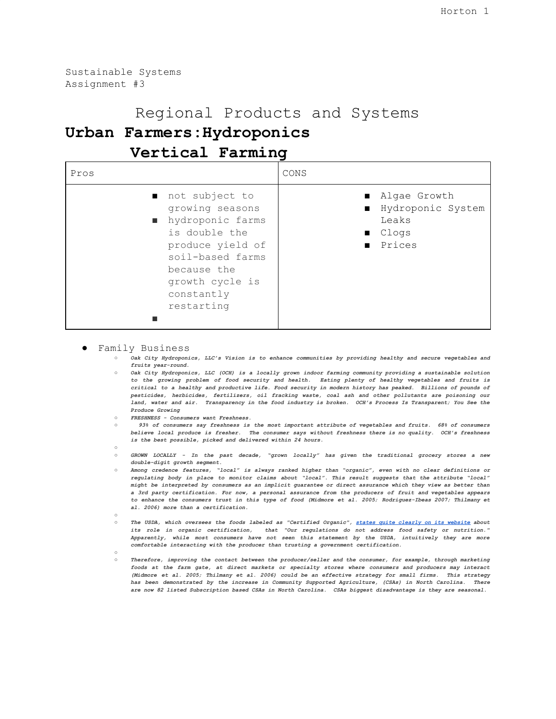Sustainable Systems Assignment #3

# Regional Products and Systems

## **Urban Farmers:Hydroponics**

### **Vertical Farming**

| Pros                                                                                                                                                                         | CONS                                                                             |
|------------------------------------------------------------------------------------------------------------------------------------------------------------------------------|----------------------------------------------------------------------------------|
| not subject to<br>growing seasons<br>nydroponic farms<br>is double the<br>produce yield of<br>soil-based farms<br>because the<br>growth cycle is<br>constantly<br>restarting | ■ Algae Growth<br>■ Hydroponic System<br>Leaks<br>$\blacksquare$ Clogs<br>Prices |

● Family Business

- *Oak City Hydroponics, LLC's Vision is to enhance communities by providing healthy and secure vegetables and fruits year-round.*
- *Oak City Hydroponics, LLC (OCH) is a locally grown indoor farming community providing a sustainable solution to the growing problem of food security and health. Eating plenty of healthy vegetables and fruits is* critical to a healthy and productive life. Food security in modern history has peaked. Billions of pounds of *pesticides, herbicides, fertilizers, oil fracking waste, coal ash and other pollutants are poisoning our* land, water and air. Transparency in the food industry is broken. OCH's Process Is Transparent; You See the *Produce Growing*
- *FRESHNESS Consumers want Freshness.*
- 0 93% of consumers say freshness is the most important attribute of vegetables and fruits. 68% of consumers *believe local produce is fresher. The consumer says without freshness there is no quality. OCH's freshness is the best possible, picked and delivered within 24 hours.*  $\circ$ 
	- *GROWN LOCALLY - In the past decade, "grown locally" has given the traditional grocery stores a new*
- *double-digit growth segment.* ○ *Among credence features, "local" is always ranked higher than "organic", even with no clear definitions or regulating body in place to monitor claims about "local". This result suggests that the attribute "local"* might be interpreted by consumers as an implicit guarantee or direct assurance which they view as better than a 3rd party certification. For now, a personal assurance from the producers of fruit and vegetables appears to enhance the consumers trust in this type of food (Midmore et al. 2005; Rodriguez-Ibeas 2007; Thilmany et *al. 2006) more than a certification.*
- The USDA, which oversees the foods labeled as "Certified Organic", states quite [clearly](https://www.ams.usda.gov/about-ams/programs-offices/national-organic-program) on its website about *its role in organic certification, that "Our regulations do not address food safety or nutrition." Apparently, while most consumers have not seen this statement by the USDA, intuitively they are more comfortable interacting with the producer than trusting a government certification.*
- $\circ$ 
	- *Therefore, improving the contact between the producer/seller and the consumer, for example, through marketing foods at the farm gate, at direct markets or specialty stores where consumers and producers may interact* (Midmore et al. 2005; Thilmany et al. 2006) could be an effective strategy for small firms. This strategy *has been demonstrated by the increase in Community Supported Agriculture, (CSAs) in North Carolina. There are now 82 listed Subscription based CSAs in North Carolina. CSAs biggest disadvantage is they are seasonal.*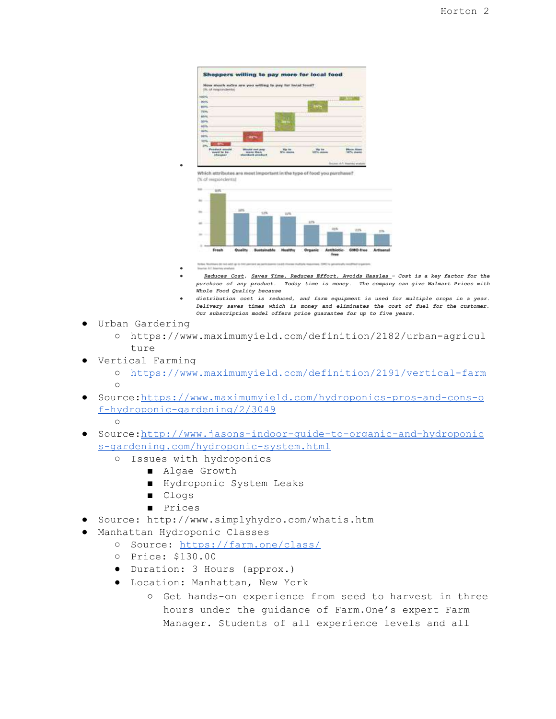

Which attributes are reset important in the type of food you purchase? (% of migiordinita)



- *● ● Reduces Cost, Saves Time, Reduces Effort, Avoids Hassles – Cost is a key factor for the purchase of any product. Today time is money. The company can give Walmart Prices with Whole Food Quality because*
- *● distribution cost is reduced, and farm equipment is used for multiple crops in a year. Delivery saves times which is money and eliminates the cost of fuel for the customer. Our subscription model offers price guarantee for up to five years.*
- Urban Gardering
	- https://www.maximumyield.com/definition/2182/urban-agricul  $t$ ure
- Vertical Farming
	- <https://www.maximumyield.com/definition/2191/vertical-farm>  $\cap$
- Source[:https://www.maximumyield.com/hydroponics-pros-and-cons-o](https://www.maximumyield.com/hydroponics-pros-and-cons-of-hydroponic-gardening/2/3049) [f-hydroponic-gardening/2/3049](https://www.maximumyield.com/hydroponics-pros-and-cons-of-hydroponic-gardening/2/3049)

 $\Omega$ 

- Source[:http://www.jasons-indoor-guide-to-organic-and-hydroponic](http://www.jasons-indoor-guide-to-organic-and-hydroponics-gardening.com/hydroponic-system.html) [s-gardening.com/hydroponic-system.html](http://www.jasons-indoor-guide-to-organic-and-hydroponics-gardening.com/hydroponic-system.html)
	- Issues with hydroponics

*●*

- Algae Growth
- Hydroponic System Leaks
- Clogs
- Prices
- Source: http://www.simplyhydro.com/whatis.htm
- Manhattan Hydroponic Classes
	- Source: <https://farm.one/class/>
	- Price: \$130.00
	- Duration: 3 Hours (approx.)
	- Location: Manhattan, New York
		- Get hands-on experience from seed to harvest in three hours under the guidance of Farm.One's expert Farm Manager. Students of all experience levels and all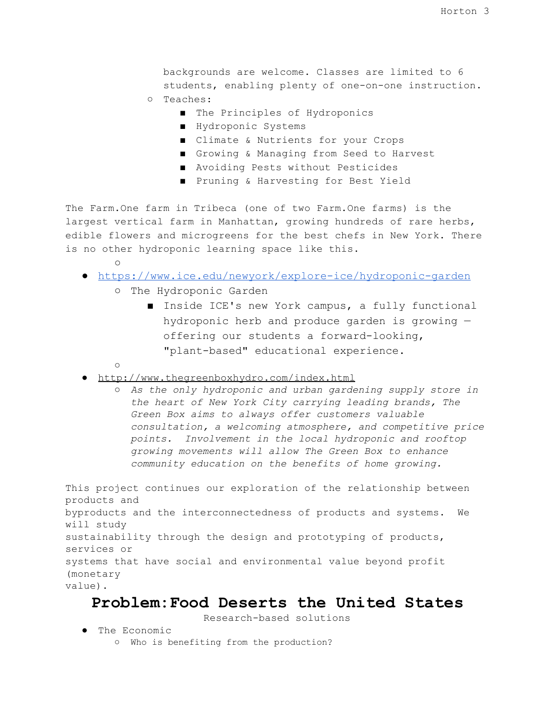backgrounds are welcome. Classes are limited to 6 students, enabling plenty of one-on-one instruction.

- Teaches:
	- The Principles of Hydroponics
	- Hydroponic Systems
	- Climate & Nutrients for your Crops
	- Growing & Managing from Seed to Harvest
	- Avoiding Pests without Pesticides
	- Pruning & Harvesting for Best Yield

The Farm.One farm in Tribeca (one of two Farm.One farms) is the largest vertical farm in Manhattan, growing hundreds of rare herbs, edible flowers and microgreens for the best chefs in New York. There is no other hydroponic learning space like this.

- ○
- <https://www.ice.edu/newyork/explore-ice/hydroponic-garden>
	- The Hydroponic Garden
		- Inside ICE's new York campus, a fully functional hydroponic herb and produce garden is growing offering our students a forward-looking, "plant-based" educational experience.
	- ○
- <http://www.thegreenboxhydro.com/index.html>
	- *As the only hydroponic and urban gardening supply store in the heart of New York City carrying leading brands, The Green Box aims to always offer customers valuable consultation, a welcoming atmosphere, and competitive price points. Involvement in the local hydroponic and rooftop growing movements will allow The Green Box to enhance community education on the benefits of home growing.*

This project continues our exploration of the relationship between products and byproducts and the interconnectedness of products and systems. We will study sustainability through the design and prototyping of products, services or systems that have social and environmental value beyond profit (monetary value).

#### **Problem:Food Deserts the United States**

Research-based solutions

- The Economic
	- Who is benefiting from the production?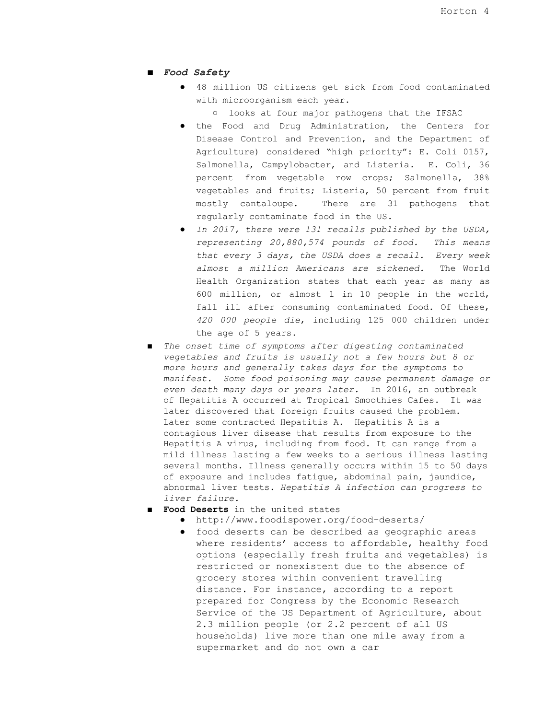- *Food Safety*
	- 48 million US citizens get sick from food contaminated with microorganism each year.
		- looks at four major pathogens that the IFSAC
	- the Food and Drug Administration, the Centers for Disease Control and Prevention, and the Department of Agriculture) considered "high priority": E. Coli 0157, Salmonella, Campylobacter, and Listeria*.* E. Coli, 36 percent from vegetable row crops; Salmonella, 38% vegetables and fruits; Listeria, 50 percent from fruit mostly cantaloupe. There are 31 pathogens that regularly contaminate food in the US.
	- *In 2017, there were 131 recalls published by the USDA, representing 20,880,574 pounds of food. This means that every 3 days, the USDA does a recall. Every week almost a million Americans are sickened.* The World Health Organization states that each year as many as 600 million, or almost 1 in 10 people in the world, fall ill after consuming contaminated food. Of these, *420 000 people die*, including 125 000 children under the age of 5 years.
- *The onset time of symptoms after digesting contaminated vegetables and fruits is usually not a few hours but 8 or more hours and generally takes days for the symptoms to manifest. Some food poisoning may cause permanent damage or even death many days or years later.* In 2016, an outbreak of Hepatitis A occurred at Tropical Smoothies Cafes. It was later discovered that foreign fruits caused the problem. Later some contracted Hepatitis A. Hepatitis A is a contagious liver disease that results from exposure to the Hepatitis A virus, including from food. It can range from a mild illness lasting a few weeks to a serious illness lasting several months. Illness generally occurs within 15 to 50 days of exposure and includes fatigue, abdominal pain, jaundice, abnormal liver tests. *Hepatitis A infection can progress to liver failure.*
- **Food Deserts** in the united states
	- http://www.foodispower.org/food-deserts/
	- food deserts can be described as geographic areas where residents' access to affordable, healthy food options (especially fresh fruits and vegetables) is restricted or nonexistent due to the absence of grocery stores within convenient travelling distance. For instance, according to a report prepared for Congress by the Economic Research Service of the US Department of Agriculture, about 2.3 million people (or 2.2 percent of all US households) live more than one mile away from a supermarket and do not own a car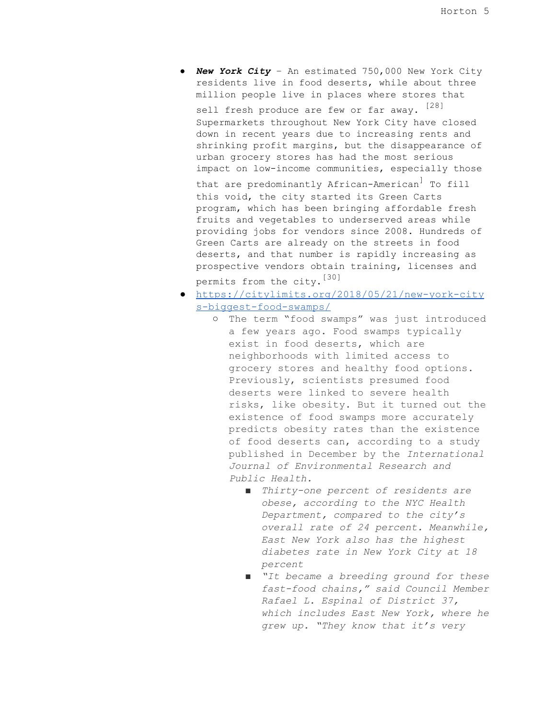● *New York City* – An estimated 750,000 New York City residents live in food deserts, while about three million people live in places where stores that

sell fresh produce are few or far away. [28] Supermarkets throughout New York City have closed down in recent years due to increasing rents and shrinking profit margins, but the disappearance of urban grocery stores has had the most serious impact on low-income communities, especially those

that are predominantly African-American] To fill this void, the city started its Green Carts program, which has been bringing affordable fresh fruits and vegetables to underserved areas while providing jobs for vendors since 2008. Hundreds of Green Carts are already on the streets in food deserts, and that number is rapidly increasing as prospective vendors obtain training, licenses and permits from the city. [30]

- [https://citylimits.org/2018/05/21/new-york-city](https://citylimits.org/2018/05/21/new-york-citys-biggest-food-swamps/) [s-biggest-food-swamps/](https://citylimits.org/2018/05/21/new-york-citys-biggest-food-swamps/)
	- The term "food swamps" was just introduced a few years ago. Food swamps typically exist in food deserts, which are neighborhoods with limited access to grocery stores and healthy food options. Previously, scientists presumed food deserts were linked to severe health risks, like obesity. But it turned out the existence of food swamps more accurately predicts obesity rates than the existence of food deserts can, according to a study published in December by the *International Journal of Environmental Research and Public Health.*
		- *■ Thirty-one percent of residents are obese, according to the NYC Health Department, compared to the city's overall rate of 24 percent. Meanwhile, East New York also has the highest diabetes rate in New York City at 18 percent*
		- *■ "It became a breeding ground for these fast-food chains," said Council Member Rafael L. Espinal of District 37, which includes East New York, where he grew up. "They know that it's very*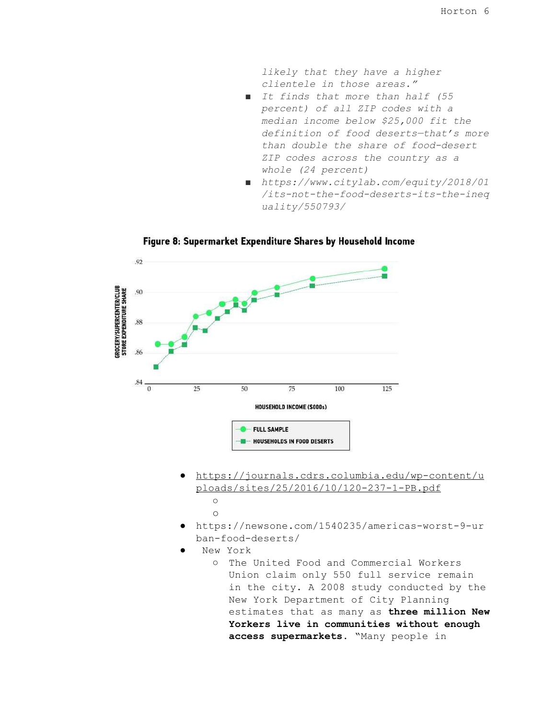*likely that they have a higher clientele in those areas."*

- *■ It finds that more than half (55 percent) of all ZIP codes with a median income below \$25,000 fit the definition of food deserts—that's more than double the share of food-desert ZIP codes across the country as a whole (24 percent)*
- *■ https://www.citylab.com/equity/2018/01 /its-not-the-food-deserts-its-the-ineq uality/550793/*



Figure 8: Supermarket Expenditure Shares by Household Income

- [https://journals.cdrs.columbia.edu/wp-content/u](https://journals.cdrs.columbia.edu/wp-content/uploads/sites/25/2016/10/120-237-1-PB.pdf) [ploads/sites/25/2016/10/120-237-1-PB.pdf](https://journals.cdrs.columbia.edu/wp-content/uploads/sites/25/2016/10/120-237-1-PB.pdf)  $\circ$ 
	- $\circ$
- https://newsone.com/1540235/americas-worst-9-ur ban-food-deserts/
- New York
	- The United Food and Commercial Workers Union claim only 550 full service remain in the city. A 2008 study conducted by the New York Department of City Planning estimates that as many as **three million New Yorkers live in communities without enough access supermarkets**. "Many people in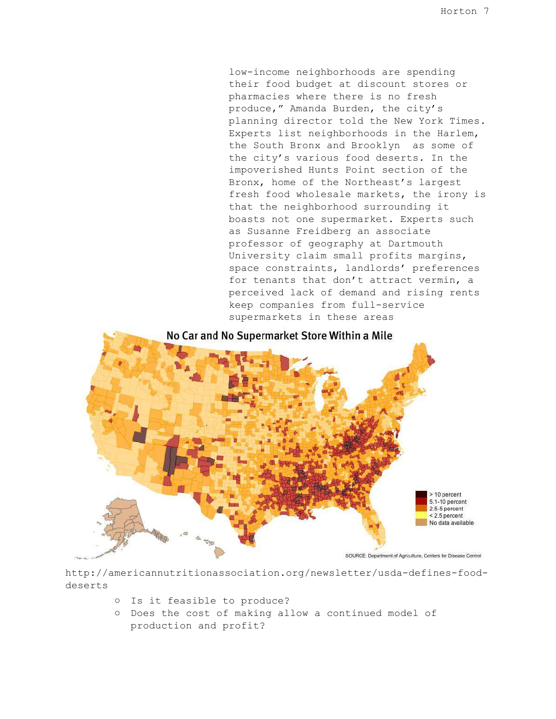low-income neighborhoods are spending their food budget at discount stores or pharmacies where there is no fresh produce," Amanda Burden, the city's planning director told the New York Times. Experts list neighborhoods in the Harlem, the South Bronx and Brooklyn as some of the city's various food deserts. In the impoverished Hunts Point section of the Bronx, home of the Northeast's largest fresh food wholesale markets, the irony is that the neighborhood surrounding it boasts not one supermarket. Experts such as Susanne Freidberg an associate professor of geography at Dartmouth University claim small profits margins, space constraints, landlords' preferences for tenants that don't attract vermin, a perceived lack of demand and rising rents keep companies from full-service supermarkets in these areas



http://americannutritionassociation.org/newsletter/usda-defines-fooddeserts

- Is it feasible to produce?
- Does the cost of making allow a continued model of production and profit?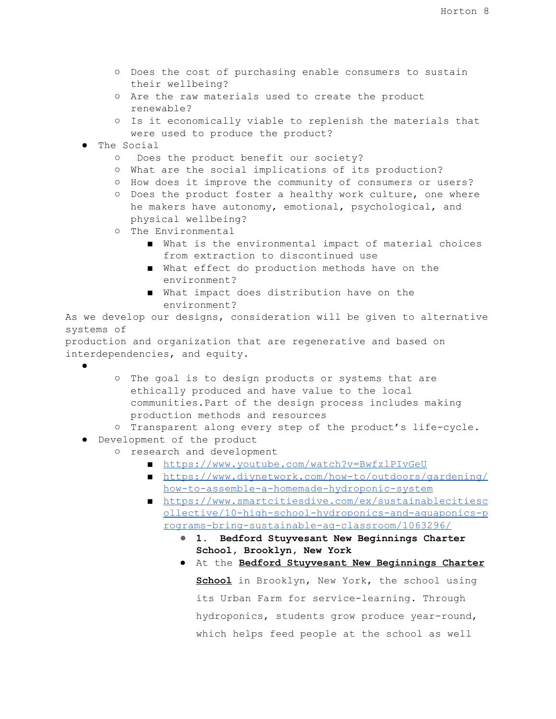- Does the cost of purchasing enable consumers to sustain their wellbeing?
- Are the raw materials used to create the product renewable?
- Is it economically viable to replenish the materials that were used to produce the product?
- The Social
	- Does the product benefit our society?
	- What are the social implications of its production?
	- How does it improve the community of consumers or users?
	- Does the product foster a healthy work culture, one where he makers have autonomy, emotional, psychological, and physical wellbeing?
	- The Environmental
		- What is the environmental impact of material choices from extraction to discontinued use
		- What effect do production methods have on the environment?
		- What impact does distribution have on the environment?

As we develop our designs, consideration will be given to alternative systems of

production and organization that are regenerative and based on interdependencies, and equity.

●

- The goal is to design products or systems that are ethically produced and have value to the local communities.Part of the design process includes making production methods and resources
- Transparent along every step of the product's life-cycle.
- Development of the product
	- research and development
		- <https://www.youtube.com/watch?v=BwfzlPIvGeU>
		- [https://www.diynetwork.com/how-to/outdoors/gardening/](https://www.diynetwork.com/how-to/outdoors/gardening/how-to-assemble-a-homemade-hydroponic-system) [how-to-assemble-a-homemade-hydroponic-system](https://www.diynetwork.com/how-to/outdoors/gardening/how-to-assemble-a-homemade-hydroponic-system)
		- [https://www.smartcitiesdive.com/ex/sustainablecitiesc](https://www.smartcitiesdive.com/ex/sustainablecitiescollective/10-high-school-hydroponics-and-aquaponics-programs-bring-sustainable-ag-classroom/1063296/) [ollective/10-high-school-hydroponics-and-aquaponics-p](https://www.smartcitiesdive.com/ex/sustainablecitiescollective/10-high-school-hydroponics-and-aquaponics-programs-bring-sustainable-ag-classroom/1063296/) [rograms-bring-sustainable-ag-classroom/1063296/](https://www.smartcitiesdive.com/ex/sustainablecitiescollective/10-high-school-hydroponics-and-aquaponics-programs-bring-sustainable-ag-classroom/1063296/)
			- **1. Bedford Stuyvesant New Beginnings Charter School, Brooklyn, New York**
			- At the **Bedford [Stuyvesant](http://bsnbcs.org/programs/urban-farm/) New Beginnings Charter [School](http://bsnbcs.org/programs/urban-farm/)** in Brooklyn, New York, the school using its Urban Farm for service-learning. Through hydroponics, students grow produce year-round, which helps feed people at the school as well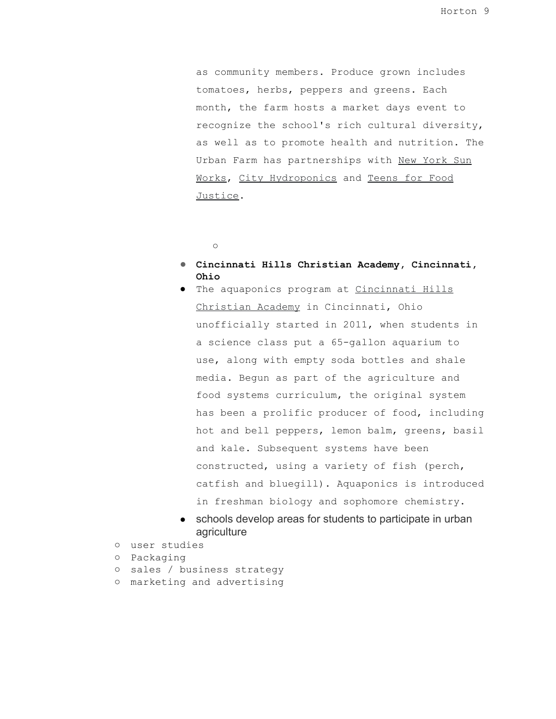as community members. Produce grown includes tomatoes, herbs, peppers and greens. Each month, the farm hosts a market days event to recognize the school's rich cultural diversity, as well as to promote health and nutrition. The Urban Farm has partnerships with New [York](http://nysunworks.org/) Sun [Works,](http://nysunworks.org/) City [Hydroponics](http://city-hydroponics.com/) and [Teens](http://www.studentsforservice.org/) for Food [Justice](http://www.studentsforservice.org/).

- $\circ$
- **Cincinnati Hills Christian Academy, Cincinnati, Ohio**
- The aquaponics program at [Cincinnati](http://www.chca-oh.org/RelId/33637/ISvars/default/Home.htm) Hills [Christian](http://www.chca-oh.org/RelId/33637/ISvars/default/Home.htm) Academy in Cincinnati, Ohio unofficially started in 2011, when students in a science class put a 65-gallon aquarium to use, along with empty soda bottles and shale media. Begun as part of the agriculture and food systems curriculum, the original system has been a prolific producer of food, including hot and bell peppers, lemon balm, greens, basil and kale. Subsequent systems have been constructed, using a variety of fish (perch, catfish and bluegill). Aquaponics is introduced in freshman biology and sophomore chemistry.
- schools develop areas for students to participate in urban agriculture
- user studies
- Packaging
- sales / business strategy
- marketing and advertising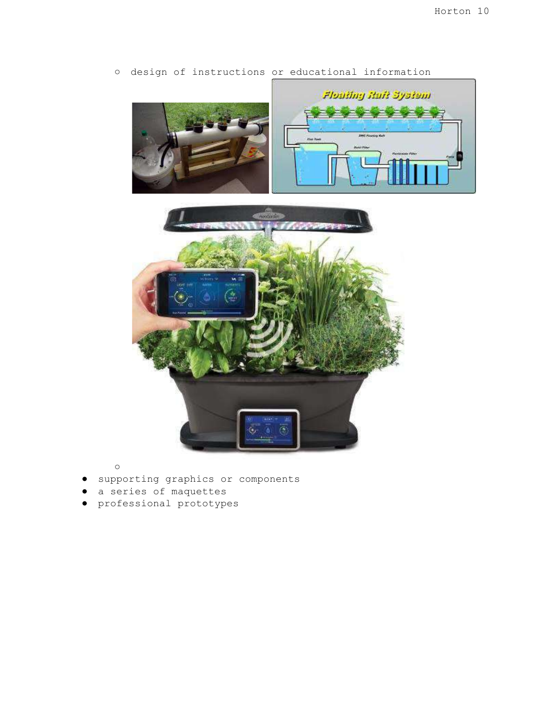

○ design of instructions or educational information

 $\circ$ 

- supporting graphics or components
- a series of maquettes
- professional prototypes